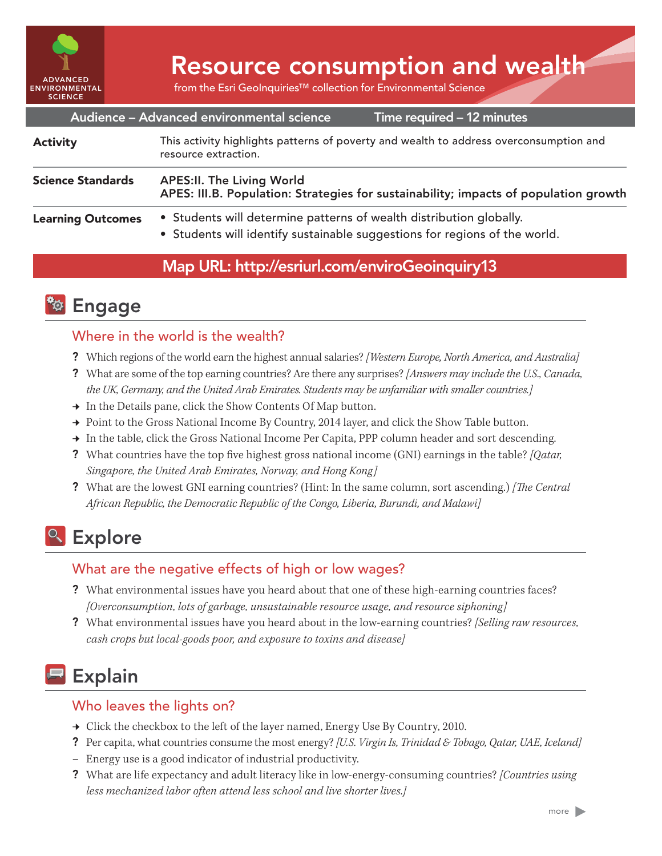

# Resource consumption and wealth

from the Esri GeoInquiries™ collection for Environmental Science

|                          | Audience - Advanced environmental science                                                                                                         | Time required - 12 minutes |
|--------------------------|---------------------------------------------------------------------------------------------------------------------------------------------------|----------------------------|
| <b>Activity</b>          | This activity highlights patterns of poverty and wealth to address overconsumption and<br>resource extraction.                                    |                            |
| <b>Science Standards</b> | <b>APES:II. The Living World</b><br>APES: III.B. Population: Strategies for sustainability; impacts of population growth                          |                            |
| <b>Learning Outcomes</b> | • Students will determine patterns of wealth distribution globally.<br>• Students will identify sustainable suggestions for regions of the world. |                            |
|                          | $\mathbf{M}$ in in $\mathbf{M}$ if $\mathbf{M}$ if $\mathbf{M}$ if $\mathbf{M}$ if $\mathbf{M}$ if $\mathbf{M}$ if $\mathbf{M}$                   |                            |

#### Map URL: http://esriurl.com/enviroGeoinquiry13



#### Where in the world is the wealth?

- ? Which regions of the world earn the highest annual salaries? *[Western Europe, North America, and Australia]*
- ? What are some of the top earning countries? Are there any surprises? *[Answers may include the U.S., Canada, the UK, Germany, and the United Arab Emirates. Students may be unfamiliar with smaller countries.]*
- → In the Details pane, click the Show Contents Of Map button.
- → Point to the Gross National Income By Country, 2014 layer, and click the Show Table button.
- → In the table, click the Gross National Income Per Capita, PPP column header and sort descending.
- ? What countries have the top five highest gross national income (GNI) earnings in the table? *[Qatar, Singapore, the United Arab Emirates, Norway, and Hong Kong]*
- ? What are the lowest GNI earning countries? (Hint: In the same column, sort ascending.) *[The Central African Republic, the Democratic Republic of the Congo, Liberia, Burundi, and Malawi]*

## <sup>Q</sup> Explore

#### What are the negative effects of high or low wages?

- ? What environmental issues have you heard about that one of these high-earning countries faces? *[Overconsumption, lots of garbage, unsustainable resource usage, and resource siphoning]*
- ? What environmental issues have you heard about in the low-earning countries? *[Selling raw resources, cash crops but local-goods poor, and exposure to toxins and disease]*

## Explain

#### Who leaves the lights on?

- → Click the checkbox to the left of the layer named, Energy Use By Country, 2010.
- ? Per capita, what countries consume the most energy? *[U.S. Virgin Is, Trinidad & Tobago, Qatar, UAE, Iceland]*
- **–** Energy use is a good indicator of industrial productivity.
- ? What are life expectancy and adult literacy like in low-energy-consuming countries? *[Countries using less mechanized labor often attend less school and live shorter lives.]*